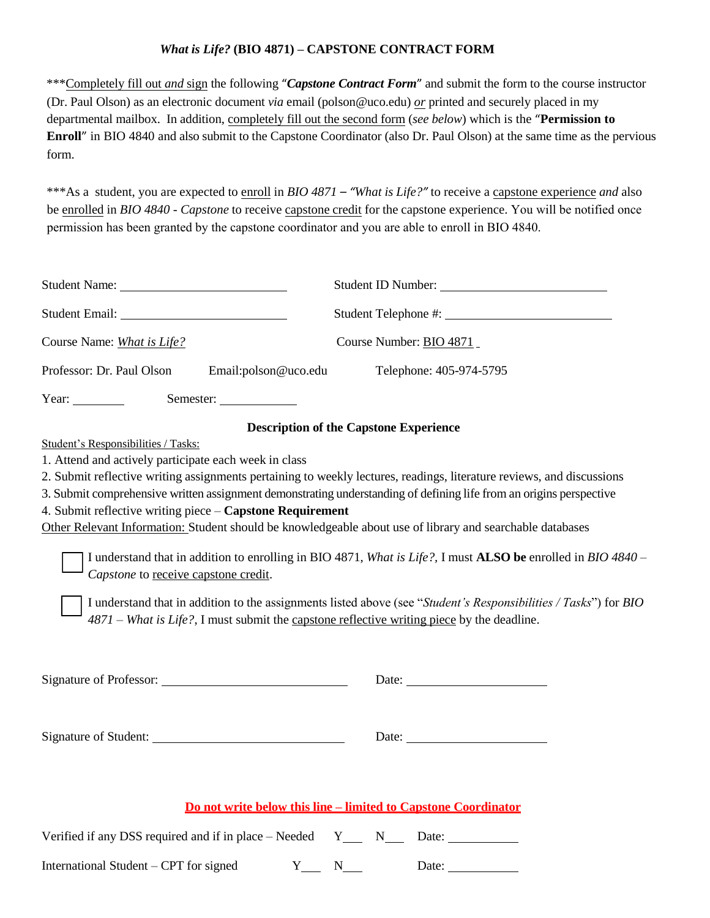## *What is Life?* **(BIO 4871) – CAPSTONE CONTRACT FORM**

\*\*\*Completely fill out *and* sign the following "*Capstone Contract Form*" and submit the form to the course instructor (Dr. Paul Olson) as an electronic document *via* email (polson@uco.edu) *or* printed and securely placed in my departmental mailbox. In addition, completely fill out the second form (*see below*) which is the "**Permission to Enroll**" in BIO 4840 and also submit to the Capstone Coordinator (also Dr. Paul Olson) at the same time as the pervious form.

\*\*\*As a student, you are expected to enroll in *BIO 4871 – "What is Life?"* to receive a capstone experience *and* also be enrolled in *BIO 4840 - Capstone* to receive capstone credit for the capstone experience. You will be notified once permission has been granted by the capstone coordinator and you are able to enroll in BIO 4840.

|                                                                                                                                                                                                                                                                                                                                                                                        | Student ID Number:                                                                                                                                                                                                                                                                            |  |  |  |  |
|----------------------------------------------------------------------------------------------------------------------------------------------------------------------------------------------------------------------------------------------------------------------------------------------------------------------------------------------------------------------------------------|-----------------------------------------------------------------------------------------------------------------------------------------------------------------------------------------------------------------------------------------------------------------------------------------------|--|--|--|--|
| Student Email: Value of the Contract of the Contract of the Contract of the Contract of the Contract of the Contract of the Contract of the Contract of the Contract of the Contract of the Contract of the Contract of the Co                                                                                                                                                         |                                                                                                                                                                                                                                                                                               |  |  |  |  |
| Course Name: What is Life?<br>Course Number: BIO 4871                                                                                                                                                                                                                                                                                                                                  |                                                                                                                                                                                                                                                                                               |  |  |  |  |
| Professor: Dr. Paul Olson<br>Email:polson@uco.edu                                                                                                                                                                                                                                                                                                                                      | Telephone: 405-974-5795                                                                                                                                                                                                                                                                       |  |  |  |  |
| Year: $\frac{1}{\sqrt{2\pi}}$<br>Semester:                                                                                                                                                                                                                                                                                                                                             |                                                                                                                                                                                                                                                                                               |  |  |  |  |
| Student's Responsibilities / Tasks:<br>1. Attend and actively participate each week in class<br>4. Submit reflective writing piece - Capstone Requirement<br>Other Relevant Information: Student should be knowledgeable about use of library and searchable databases                                                                                                                 | <b>Description of the Capstone Experience</b><br>2. Submit reflective writing assignments pertaining to weekly lectures, readings, literature reviews, and discussions<br>3. Submit comprehensive written assignment demonstrating understanding of defining life from an origins perspective |  |  |  |  |
| I understand that in addition to enrolling in BIO 4871, What is Life?, I must <b>ALSO be</b> enrolled in <i>BIO 4840</i> –<br>Capstone to receive capstone credit.<br>I understand that in addition to the assignments listed above (see "Student's Responsibilities / Tasks") for BIO<br>$4871$ – What is Life?, I must submit the capstone reflective writing piece by the deadline. |                                                                                                                                                                                                                                                                                               |  |  |  |  |
|                                                                                                                                                                                                                                                                                                                                                                                        |                                                                                                                                                                                                                                                                                               |  |  |  |  |
|                                                                                                                                                                                                                                                                                                                                                                                        |                                                                                                                                                                                                                                                                                               |  |  |  |  |
| Do not write below this line – limited to Capstone Coordinator                                                                                                                                                                                                                                                                                                                         |                                                                                                                                                                                                                                                                                               |  |  |  |  |
| Verified if any DSS required and if in place - Needed $Y_ N_ N_ N_$ Date:                                                                                                                                                                                                                                                                                                              |                                                                                                                                                                                                                                                                                               |  |  |  |  |
| International Student - CPT for signed                                                                                                                                                                                                                                                                                                                                                 | $Y \_ N \_ N$<br>Date: $\_\_$                                                                                                                                                                                                                                                                 |  |  |  |  |